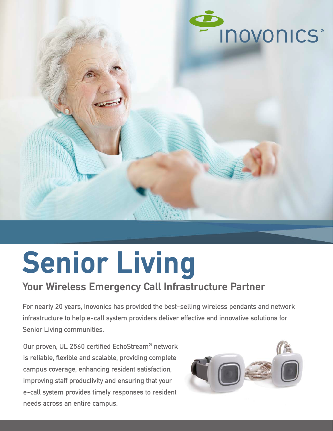

# **Senior Living**

## **Your Wireless Emergency Call Infrastructure Partner**

For nearly 20 years, Inovonics has provided the best-selling wireless pendants and network infrastructure to help e-call system providers deliver effective and innovative solutions for Senior Living communities.

Our proven, UL 2560 certified EchoStream**®** network is reliable, flexible and scalable, providing complete campus coverage, enhancing resident satisfaction, improving staff productivity and ensuring that your e-call system provides timely responses to resident needs across an entire campus.

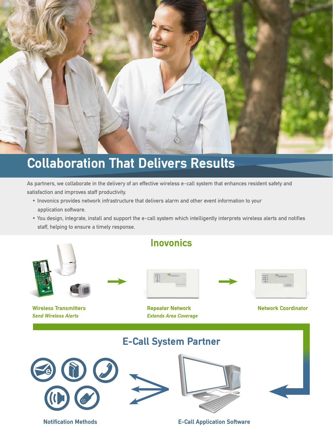

## **Collaboration That Delivers Results**

As partners, we collaborate in the delivery of an effective wireless e-call system that enhances resident safety and satisfaction and improves staff productivity.

- Inovonics provides network infrastructure that delivers alarm and other event information to your application software.
- You design, integrate, install and support the e-call system which intelligently interprets wireless alerts and notifies staff, helping to ensure a timely response.



**Notification Methods E-Call Application Software**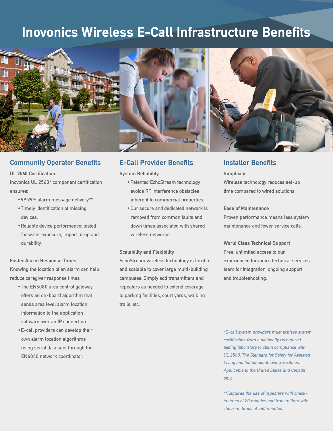## **Inovonics Wireless E-Call Infrastructure Benefits**





#### **Community Operator Benefits**

**UL 2560 Certification**  Inovonics UL 2560\* component certification ensures:

- •99.99% alarm message delivery\*\*.
- •Timely identification of missing devices.
- •Reliable device performance: tested for water exposure, impact, drop and durability.

#### **Faster Alarm Response Times**

Knowing the location of an alarm can help reduce caregiver response times

- •The EN6080 area control gateway offers an on-board algorithm that sends area level alarm location information to the application software over an IP connection.
- •E-call providers can develop their own alarm location algorithms using serial data sent through the EN6040 network coordinator.

### **E-Call Provider Benefits Installer Benefits**

**System Reliability**

- •Patented EchoStream technology avoids RF interference obstacles inherent to commercial properties.
- •Our secure and dedicated network is removed from common faults and down times associated with shared wireless networks.

#### **Scalability and Flexibility**

EchoStream wireless technology is flexible and scalable to cover large multi-building campuses. Simply add transmitters and repeaters as needed to extend coverage to parking facilities, court yards, walking trails, etc.



**Simplicity** Wireless technology reduces set-up time compared to wired solutions.

#### **Ease of Maintenance**

Proven performance means less system maintenance and fewer service calls.

**World Class Technical Support** Free, unlimited access to our experienced Inovonics technical services team for integration, ongoing support and troubleshooting.

\*E-call system providers must achieve system certification from a nationally recognized testing laboratory to claim compliance with UL 2560, The Standard for Safety for Assisted Living and Independent Living Facilities. Applicable to the United States and Canada only.

\*\*Requires the use of repeaters with checkin times of 20 minutes and transmitters with check-in times of ≥60 minutes.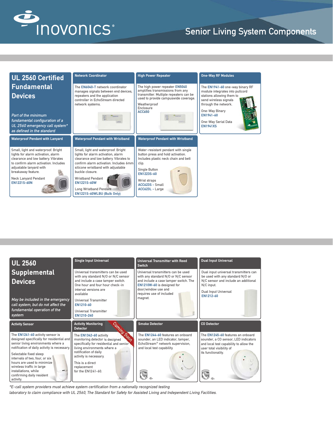

## Senior Living System Components



| <b>UL 2560</b>                                                                                                                                                      | <b>Single Input Universal</b>                                                                                                                                                           | <b>Universal Transmitter with Reed</b><br>Switch                                                                                                                                                    | <b>Dual Input Universal</b>                                                                                                                                          |
|---------------------------------------------------------------------------------------------------------------------------------------------------------------------|-----------------------------------------------------------------------------------------------------------------------------------------------------------------------------------------|-----------------------------------------------------------------------------------------------------------------------------------------------------------------------------------------------------|----------------------------------------------------------------------------------------------------------------------------------------------------------------------|
| <b>Supplemental</b><br><b>Devices</b>                                                                                                                               | Universal transmitters can be used<br>with any standard N/O or N/C sensor<br>and include a case tamper switch.<br>One hour and four hour check-in<br>interval versions are<br>available | Universal transmitters can be used<br>with any standard N/O or N/C sensor<br>and include a case tamper switch. The<br>EN1210W-60 is designed for<br>door/window use and<br>requires use of included | Dual input universal transmitters can<br>be used with any standard N/O or<br>N/C sensor and include an additional<br>N/C input.<br>Dual Input Universal<br>EN1212-60 |
| May be included in the emergency<br>call system, but do not affect the                                                                                              | <b>Universal Transmitter</b><br>EN1210-60                                                                                                                                               | magnet.                                                                                                                                                                                             |                                                                                                                                                                      |
| fundamental operation of the<br>system                                                                                                                              | Universal Transmitter<br>EN1210-240                                                                                                                                                     |                                                                                                                                                                                                     |                                                                                                                                                                      |
|                                                                                                                                                                     |                                                                                                                                                                                         |                                                                                                                                                                                                     |                                                                                                                                                                      |
| <b>Activity Sensor</b>                                                                                                                                              | <b>CON</b><br><b>Activity Monitoring</b><br><b>Detector</b>                                                                                                                             | <b>Smoke Detector</b>                                                                                                                                                                               | <b>CO Detector</b>                                                                                                                                                   |
| The EN1241-60 activity sensor is<br>designed specifically for residential and<br>senior living environments where a<br>notification of daily activity is necessary. | The EN1342-60 activity<br><b>PO</b><br>monitoring detector is designed<br>specifically for residential and senior<br>living environments where a                                        | The FN1244-60 features an onboard<br>sounder, an LED indicator, tamper,<br>EchoStream <sup>®</sup> network supervision,<br>and local test capability.                                               | The EN1245-60 features an onboard<br>sounder, a CO sensor, LED indicators<br>and local test capability to allow the<br>user total visibility of                      |
| Selectable fixed sleep<br>intervals of two, four, or six<br>hours are used to minimize<br>wireless traffic in large<br>installations, while                         | notification of daily<br>activity is necessary.<br>This is a direct<br>replacement<br>for the EN1241-60.                                                                                |                                                                                                                                                                                                     | its functionality.                                                                                                                                                   |

\*E-call system providers must achieve system certification from a nationally recognized testing

laboratory to claim compliance with UL 2560, The Standard for Safety for Assisted Living and Independent Living Facilities.